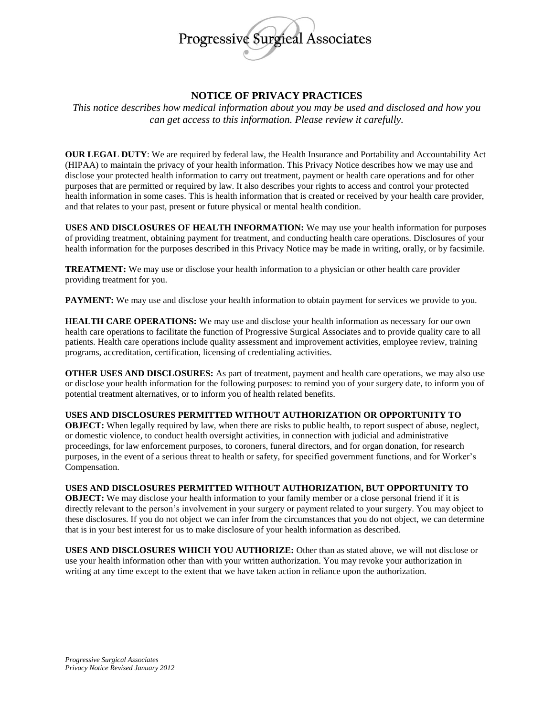

## **NOTICE OF PRIVACY PRACTICES**

*This notice describes how medical information about you may be used and disclosed and how you can get access to this information. Please review it carefully.*

**OUR LEGAL DUTY**: We are required by federal law, the Health Insurance and Portability and Accountability Act (HIPAA) to maintain the privacy of your health information. This Privacy Notice describes how we may use and disclose your protected health information to carry out treatment, payment or health care operations and for other purposes that are permitted or required by law. It also describes your rights to access and control your protected health information in some cases. This is health information that is created or received by your health care provider, and that relates to your past, present or future physical or mental health condition.

**USES AND DISCLOSURES OF HEALTH INFORMATION:** We may use your health information for purposes of providing treatment, obtaining payment for treatment, and conducting health care operations. Disclosures of your health information for the purposes described in this Privacy Notice may be made in writing, orally, or by facsimile.

**TREATMENT:** We may use or disclose your health information to a physician or other health care provider providing treatment for you.

**PAYMENT:** We may use and disclose your health information to obtain payment for services we provide to you.

**HEALTH CARE OPERATIONS:** We may use and disclose your health information as necessary for our own health care operations to facilitate the function of Progressive Surgical Associates and to provide quality care to all patients. Health care operations include quality assessment and improvement activities, employee review, training programs, accreditation, certification, licensing of credentialing activities.

**OTHER USES AND DISCLOSURES:** As part of treatment, payment and health care operations, we may also use or disclose your health information for the following purposes: to remind you of your surgery date, to inform you of potential treatment alternatives, or to inform you of health related benefits.

## **USES AND DISCLOSURES PERMITTED WITHOUT AUTHORIZATION OR OPPORTUNITY TO**

**OBJECT:** When legally required by law, when there are risks to public health, to report suspect of abuse, neglect, or domestic violence, to conduct health oversight activities, in connection with judicial and administrative proceedings, for law enforcement purposes, to coroners, funeral directors, and for organ donation, for research purposes, in the event of a serious threat to health or safety, for specified government functions, and for Worker's Compensation.

## **USES AND DISCLOSURES PERMITTED WITHOUT AUTHORIZATION, BUT OPPORTUNITY TO**

**OBJECT:** We may disclose your health information to your family member or a close personal friend if it is directly relevant to the person's involvement in your surgery or payment related to your surgery. You may object to these disclosures. If you do not object we can infer from the circumstances that you do not object, we can determine that is in your best interest for us to make disclosure of your health information as described.

**USES AND DISCLOSURES WHICH YOU AUTHORIZE:** Other than as stated above, we will not disclose or use your health information other than with your written authorization. You may revoke your authorization in writing at any time except to the extent that we have taken action in reliance upon the authorization.